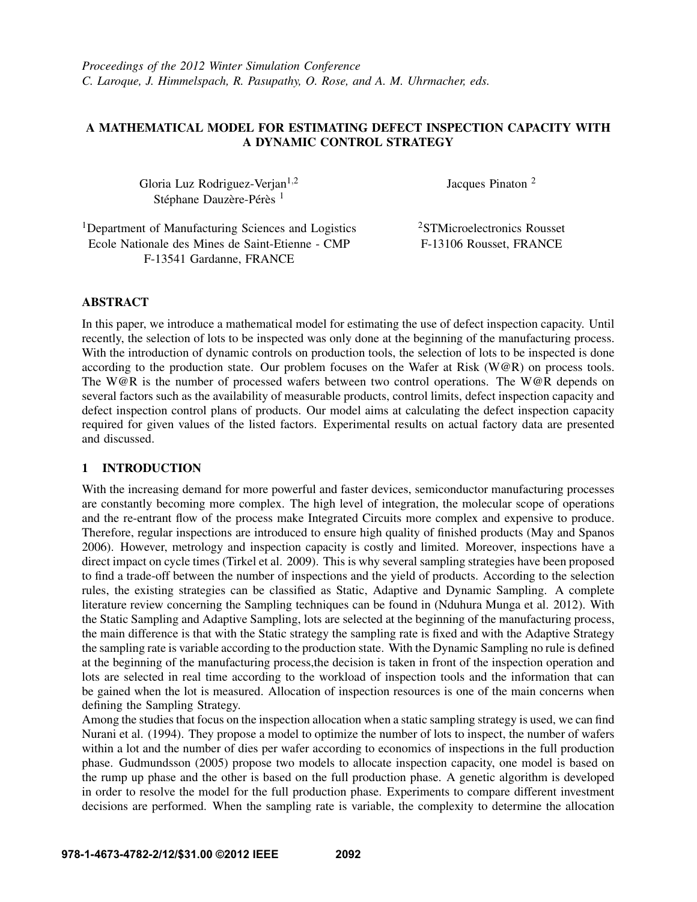# A MATHEMATICAL MODEL FOR ESTIMATING DEFECT INSPECTION CAPACITY WITH A DYNAMIC CONTROL STRATEGY

Gloria Luz Rodriguez-Verjan $1,2$ Stéphane Dauzère-Pérès<sup>1</sup>

Jacques Pinaton<sup>2</sup>

<sup>1</sup>Department of Manufacturing Sciences and Logistics Ecole Nationale des Mines de Saint-Etienne - CMP F-13541 Gardanne, FRANCE <sup>2</sup>STMicroelectronics Rousset F-13106 Rousset, FRANCE

## ABSTRACT

In this paper, we introduce a mathematical model for estimating the use of defect inspection capacity. Until recently, the selection of lots to be inspected was only done at the beginning of the manufacturing process. With the introduction of dynamic controls on production tools, the selection of lots to be inspected is done according to the production state. Our problem focuses on the Wafer at Risk (W@R) on process tools. The W@R is the number of processed wafers between two control operations. The W@R depends on several factors such as the availability of measurable products, control limits, defect inspection capacity and defect inspection control plans of products. Our model aims at calculating the defect inspection capacity required for given values of the listed factors. Experimental results on actual factory data are presented and discussed.

## 1 INTRODUCTION

With the increasing demand for more powerful and faster devices, semiconductor manufacturing processes are constantly becoming more complex. The high level of integration, the molecular scope of operations and the re-entrant flow of the process make Integrated Circuits more complex and expensive to produce. Therefore, regular inspections are introduced to ensure high quality of finished products (May and Spanos 2006). However, metrology and inspection capacity is costly and limited. Moreover, inspections have a direct impact on cycle times (Tirkel et al. 2009). This is why several sampling strategies have been proposed to find a trade-off between the number of inspections and the yield of products. According to the selection rules, the existing strategies can be classified as Static, Adaptive and Dynamic Sampling. A complete literature review concerning the Sampling techniques can be found in (Nduhura Munga et al. 2012). With the Static Sampling and Adaptive Sampling, lots are selected at the beginning of the manufacturing process, the main difference is that with the Static strategy the sampling rate is fixed and with the Adaptive Strategy the sampling rate is variable according to the production state. With the Dynamic Sampling no rule is defined at the beginning of the manufacturing process,the decision is taken in front of the inspection operation and lots are selected in real time according to the workload of inspection tools and the information that can be gained when the lot is measured. Allocation of inspection resources is one of the main concerns when defining the Sampling Strategy.

Among the studies that focus on the inspection allocation when a static sampling strategy is used, we can find Nurani et al. (1994). They propose a model to optimize the number of lots to inspect, the number of wafers within a lot and the number of dies per wafer according to economics of inspections in the full production phase. Gudmundsson (2005) propose two models to allocate inspection capacity, one model is based on the rump up phase and the other is based on the full production phase. A genetic algorithm is developed in order to resolve the model for the full production phase. Experiments to compare different investment decisions are performed. When the sampling rate is variable, the complexity to determine the allocation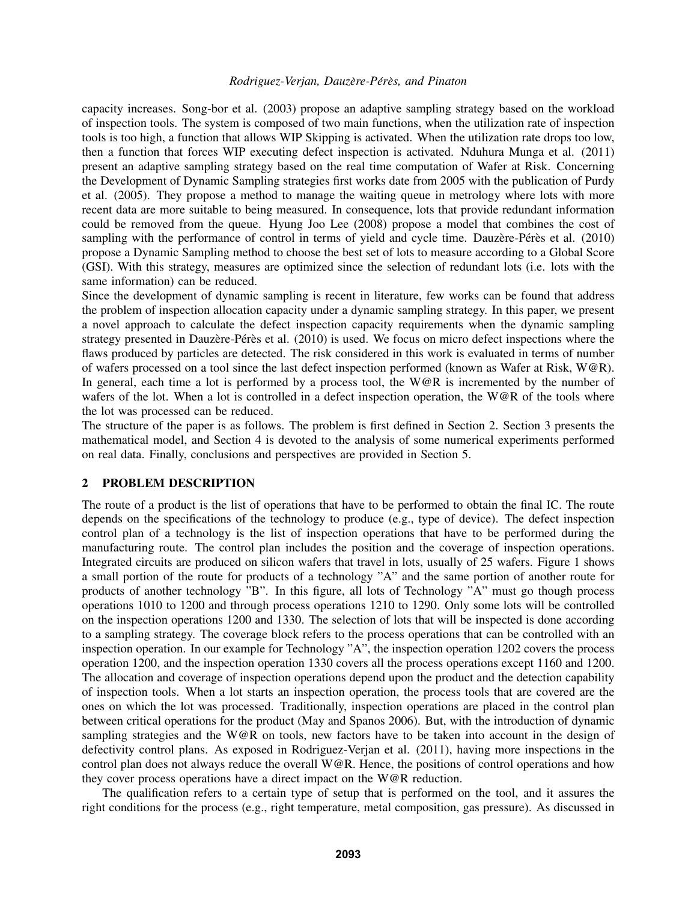capacity increases. Song-bor et al. (2003) propose an adaptive sampling strategy based on the workload of inspection tools. The system is composed of two main functions, when the utilization rate of inspection tools is too high, a function that allows WIP Skipping is activated. When the utilization rate drops too low, then a function that forces WIP executing defect inspection is activated. Nduhura Munga et al. (2011) present an adaptive sampling strategy based on the real time computation of Wafer at Risk. Concerning the Development of Dynamic Sampling strategies first works date from 2005 with the publication of Purdy et al. (2005). They propose a method to manage the waiting queue in metrology where lots with more recent data are more suitable to being measured. In consequence, lots that provide redundant information could be removed from the queue. Hyung Joo Lee (2008) propose a model that combines the cost of sampling with the performance of control in terms of yield and cycle time. Dauzère-Pérès et al. (2010) propose a Dynamic Sampling method to choose the best set of lots to measure according to a Global Score (GSI). With this strategy, measures are optimized since the selection of redundant lots (i.e. lots with the same information) can be reduced.

Since the development of dynamic sampling is recent in literature, few works can be found that address the problem of inspection allocation capacity under a dynamic sampling strategy. In this paper, we present a novel approach to calculate the defect inspection capacity requirements when the dynamic sampling strategy presented in Dauzère-Pérès et al. (2010) is used. We focus on micro defect inspections where the flaws produced by particles are detected. The risk considered in this work is evaluated in terms of number of wafers processed on a tool since the last defect inspection performed (known as Wafer at Risk, W@R). In general, each time a lot is performed by a process tool, the W@R is incremented by the number of wafers of the lot. When a lot is controlled in a defect inspection operation, the W@R of the tools where the lot was processed can be reduced.

The structure of the paper is as follows. The problem is first defined in Section 2. Section 3 presents the mathematical model, and Section 4 is devoted to the analysis of some numerical experiments performed on real data. Finally, conclusions and perspectives are provided in Section 5.

### 2 PROBLEM DESCRIPTION

The route of a product is the list of operations that have to be performed to obtain the final IC. The route depends on the specifications of the technology to produce (e.g., type of device). The defect inspection control plan of a technology is the list of inspection operations that have to be performed during the manufacturing route. The control plan includes the position and the coverage of inspection operations. Integrated circuits are produced on silicon wafers that travel in lots, usually of 25 wafers. Figure 1 shows a small portion of the route for products of a technology "A" and the same portion of another route for products of another technology "B". In this figure, all lots of Technology "A" must go though process operations 1010 to 1200 and through process operations 1210 to 1290. Only some lots will be controlled on the inspection operations 1200 and 1330. The selection of lots that will be inspected is done according to a sampling strategy. The coverage block refers to the process operations that can be controlled with an inspection operation. In our example for Technology "A", the inspection operation 1202 covers the process operation 1200, and the inspection operation 1330 covers all the process operations except 1160 and 1200. The allocation and coverage of inspection operations depend upon the product and the detection capability of inspection tools. When a lot starts an inspection operation, the process tools that are covered are the ones on which the lot was processed. Traditionally, inspection operations are placed in the control plan between critical operations for the product (May and Spanos 2006). But, with the introduction of dynamic sampling strategies and the W@R on tools, new factors have to be taken into account in the design of defectivity control plans. As exposed in Rodriguez-Verjan et al. (2011), having more inspections in the control plan does not always reduce the overall W@R. Hence, the positions of control operations and how they cover process operations have a direct impact on the W@R reduction.

The qualification refers to a certain type of setup that is performed on the tool, and it assures the right conditions for the process (e.g., right temperature, metal composition, gas pressure). As discussed in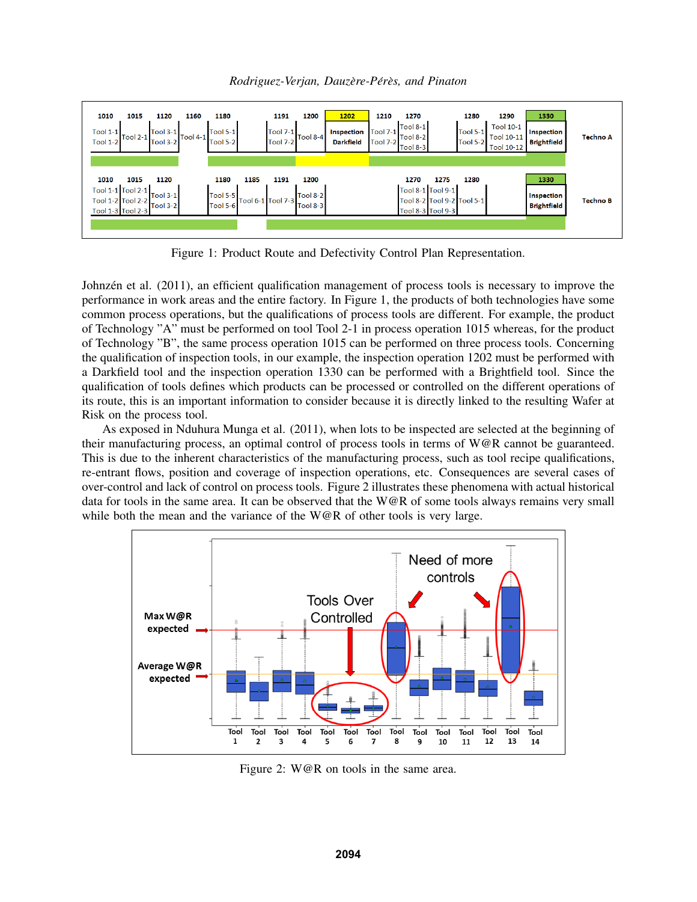



Figure 1: Product Route and Defectivity Control Plan Representation.

Johnzen et al. (2011), an efficient qualification management of process tools is necessary to improve the performance in work areas and the entire factory. In Figure 1, the products of both technologies have some common process operations, but the qualifications of process tools are different. For example, the product of Technology "A" must be performed on tool Tool 2-1 in process operation 1015 whereas, for the product of Technology "B", the same process operation 1015 can be performed on three process tools. Concerning the qualification of inspection tools, in our example, the inspection operation 1202 must be performed with a Darkfield tool and the inspection operation 1330 can be performed with a Brightfield tool. Since the qualification of tools defines which products can be processed or controlled on the different operations of its route, this is an important information to consider because it is directly linked to the resulting Wafer at Risk on the process tool.

As exposed in Nduhura Munga et al. (2011), when lots to be inspected are selected at the beginning of their manufacturing process, an optimal control of process tools in terms of W@R cannot be guaranteed. This is due to the inherent characteristics of the manufacturing process, such as tool recipe qualifications, re-entrant flows, position and coverage of inspection operations, etc. Consequences are several cases of over-control and lack of control on process tools. Figure 2 illustrates these phenomena with actual historical data for tools in the same area. It can be observed that the W@R of some tools always remains very small while both the mean and the variance of the W@R of other tools is very large.



Figure 2: W@R on tools in the same area.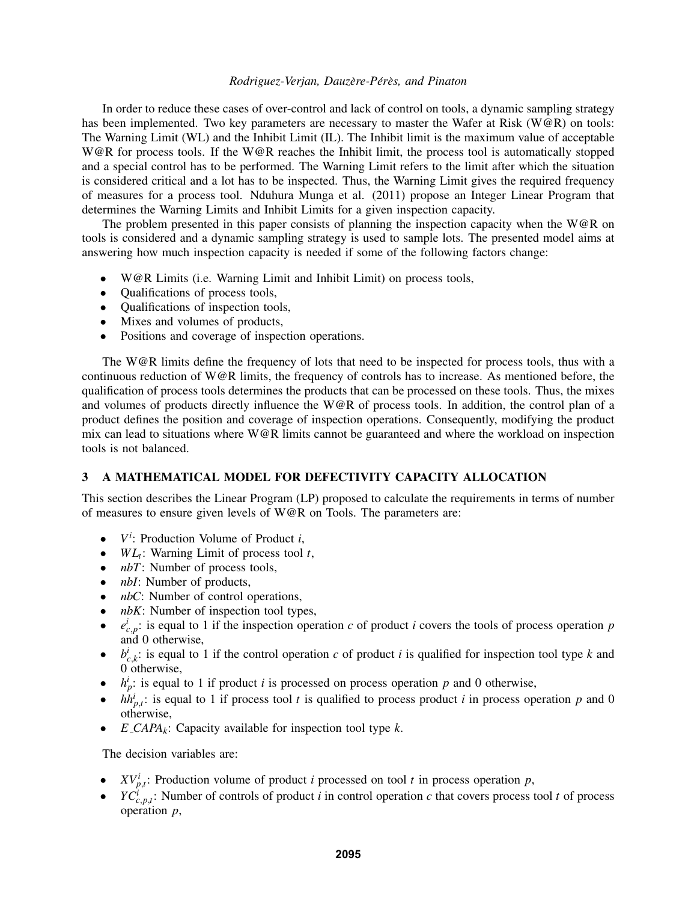In order to reduce these cases of over-control and lack of control on tools, a dynamic sampling strategy has been implemented. Two key parameters are necessary to master the Wafer at Risk (W@R) on tools: The Warning Limit (WL) and the Inhibit Limit (IL). The Inhibit limit is the maximum value of acceptable W@R for process tools. If the W@R reaches the Inhibit limit, the process tool is automatically stopped and a special control has to be performed. The Warning Limit refers to the limit after which the situation is considered critical and a lot has to be inspected. Thus, the Warning Limit gives the required frequency of measures for a process tool. Nduhura Munga et al. (2011) propose an Integer Linear Program that determines the Warning Limits and Inhibit Limits for a given inspection capacity.

The problem presented in this paper consists of planning the inspection capacity when the W@R on tools is considered and a dynamic sampling strategy is used to sample lots. The presented model aims at answering how much inspection capacity is needed if some of the following factors change:

- W@R Limits (i.e. Warning Limit and Inhibit Limit) on process tools,
- Qualifications of process tools,
- Qualifications of inspection tools,
- Mixes and volumes of products,
- Positions and coverage of inspection operations.

The W@R limits define the frequency of lots that need to be inspected for process tools, thus with a continuous reduction of  $W@R$  limits, the frequency of controls has to increase. As mentioned before, the qualification of process tools determines the products that can be processed on these tools. Thus, the mixes and volumes of products directly influence the W@R of process tools. In addition, the control plan of a product defines the position and coverage of inspection operations. Consequently, modifying the product mix can lead to situations where W@R limits cannot be guaranteed and where the workload on inspection tools is not balanced.

### 3 A MATHEMATICAL MODEL FOR DEFECTIVITY CAPACITY ALLOCATION

This section describes the Linear Program (LP) proposed to calculate the requirements in terms of number of measures to ensure given levels of W@R on Tools. The parameters are:

- *V i* : Production Volume of Product *i*,
- *W L<sup>t</sup>* : Warning Limit of process tool *t*,
- *nbT*: Number of process tools,
- *nbI*: Number of products,
- *nbC*: Number of control operations,
- *nbK*: Number of inspection tool types,
- $e_{c,p}^i$ : is equal to 1 if the inspection operation *c* of product *i* covers the tools of process operation *p* and 0 otherwise,
- $b_{c,k}^i$ : is equal to 1 if the control operation *c* of product *i* is qualified for inspection tool type *k* and 0 otherwise,
- $h_p^i$ : is equal to 1 if product *i* is processed on process operation *p* and 0 otherwise,
- *hh*<sup>*i*</sup><sub>*p*,*t*</sub>: is equal to 1 if process tool *t* is qualified to process product *i* in process operation *p* and 0 otherwise,
- *E CAPAk*: Capacity available for inspection tool type *k*.

The decision variables are:

- $XV_{p,t}^i$ : Production volume of product *i* processed on tool *t* in process operation *p*,
- *YC*<sup>*i*</sup><sub>*c*,*p*,*t*</sub>: Number of controls of product *i* in control operation *c* that covers process tool *t* of process operation *p*,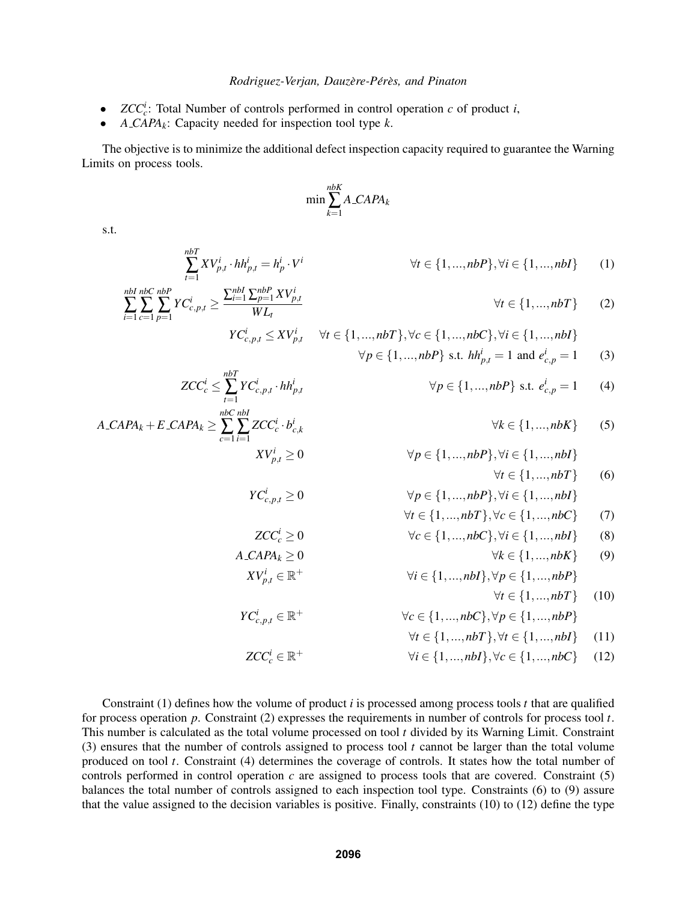- $ZCC_c^i$ : Total Number of controls performed in control operation *c* of product *i*,
- $A\_CAPA_k$ : Capacity needed for inspection tool type  $k$ .

 $n \pi$ 

 $ZCC_c^i \leq$ 

 $A \text{-} CAPA_k + E \text{-} CAPA_k \geq$ 

*nbT*  $\sum_{t=1}$ 

*nbC* ∑ *c*=1

*nbI* ∑ *i*=1

 $YC_{c,p,t}^i \cdot hh_l^i$ 

 $ZCC_c^i \cdot b_c^i$ 

 $XV^i_{p,t} \geq 0$ 

The objective is to minimize the additional defect inspection capacity required to guarantee the Warning Limits on process tools.

$$
\min \sum_{k=1}^{nbK} A \_CAPA_k
$$

s.t.

$$
\sum_{t=1}^{n\delta I} XV_{p,t}^i \cdot hh_{p,t}^i = h_p^i \cdot V^i \qquad \forall t \in \{1, ..., nbP\}, \forall i \in \{1, ..., nbI\} \qquad (1)
$$

$$
\sum_{i=1}^{nbI} \sum_{c=1}^{nbP} Y C_{c,p,t}^{i} \ge \frac{\sum_{i=1}^{nbI} \sum_{p=1}^{nbP} X V_{p,t}^{i}}{WL_{t}}
$$
\n
$$
\forall t \in \{1, ..., nbT\} \qquad (2)
$$

$$
YC_{c,p,t} \le XV_{p,t}^i \quad \forall t \in \{1,...,n b T\}, \forall c \in \{1,...,n b C\}, \forall i \in \{1,...,n b I\}
$$

$$
\forall p \in \{1,...,n b P\} \text{ s.t. } hh_{p,t}^i = 1 \text{ and } e_{c,p}^i = 1 \quad (3)
$$

$$
\forall p \in \{1, ..., nbP\} \text{ s.t. } hh_{p,t}^t = 1 \text{ and } e_{c,p}^t = 1
$$
 (3)

$$
\forall p \in \{1, ..., nbP\} \text{ s.t. } e_{c,p}^i = 1 \qquad (4)
$$

$$
\forall k \in \{1, ..., nbK\} \tag{5}
$$

$$
\forall p \in \{1, ..., nbP\}, \forall i \in \{1, ..., nbI\}
$$

$$
\forall t \in \{1, ..., nbT\} \qquad (6)
$$

$$
YC_{c,p,t}^i \ge 0 \qquad \forall p \in \{1, ..., nbP\}, \forall i \in \{1, ..., nbI\}
$$

$$
\forall t \in \{1, ..., nbT\}, \forall c \in \{1, ..., nbC\} \tag{7}
$$

$$
ZCC_c^i \ge 0 \qquad \qquad \forall c \in \{1, ..., nbC\}, \forall i \in \{1, ..., nbI\} \qquad (8)
$$

$$
A\_\mathsf{CAR} A_k \ge 0 \qquad \qquad \forall k \in \{1, \dots, nbK\} \qquad (9)
$$
\n
$$
X V_{p,t}^i \in \mathbb{R}^+ \qquad \qquad \forall i \in \{1, \dots, nbI\}, \forall p \in \{1, \dots, nbP\}
$$

$$
\forall t \in \{1, ..., nbT\} \quad (10)
$$

$$
YC_{c,p,t}^i \in \mathbb{R}^+ \qquad \forall c \in \{1, ..., nbC\}, \forall p \in \{1, ..., nbP\}
$$

$$
\forall t \in \{1, ..., nbT\}, \forall t \in \{1, ..., nbI\} \tag{11}
$$

$$
ZCC_c^i \in \mathbb{R}^+ \qquad \qquad \forall i \in \{1, ..., nbI\}, \forall c \in \{1, ..., nbC\} \qquad (12)
$$

Constraint (1) defines how the volume of product *i* is processed among process tools *t* that are qualified for process operation *p*. Constraint (2) expresses the requirements in number of controls for process tool *t*. This number is calculated as the total volume processed on tool *t* divided by its Warning Limit. Constraint (3) ensures that the number of controls assigned to process tool *t* cannot be larger than the total volume produced on tool *t*. Constraint (4) determines the coverage of controls. It states how the total number of controls performed in control operation *c* are assigned to process tools that are covered. Constraint (5) balances the total number of controls assigned to each inspection tool type. Constraints (6) to (9) assure that the value assigned to the decision variables is positive. Finally, constraints (10) to (12) define the type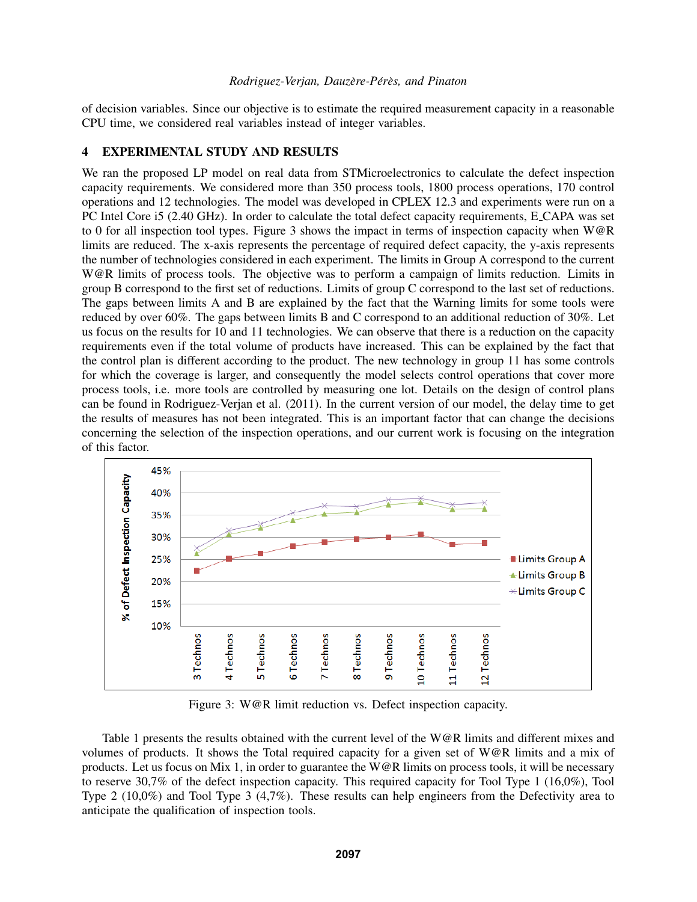of decision variables. Since our objective is to estimate the required measurement capacity in a reasonable CPU time, we considered real variables instead of integer variables.

### 4 EXPERIMENTAL STUDY AND RESULTS

We ran the proposed LP model on real data from STMicroelectronics to calculate the defect inspection capacity requirements. We considered more than 350 process tools, 1800 process operations, 170 control operations and 12 technologies. The model was developed in CPLEX 12.3 and experiments were run on a PC Intel Core i5 (2.40 GHz). In order to calculate the total defect capacity requirements, E CAPA was set to 0 for all inspection tool types. Figure 3 shows the impact in terms of inspection capacity when W@R limits are reduced. The x-axis represents the percentage of required defect capacity, the y-axis represents the number of technologies considered in each experiment. The limits in Group A correspond to the current W@R limits of process tools. The objective was to perform a campaign of limits reduction. Limits in group B correspond to the first set of reductions. Limits of group C correspond to the last set of reductions. The gaps between limits A and B are explained by the fact that the Warning limits for some tools were reduced by over 60%. The gaps between limits B and C correspond to an additional reduction of 30%. Let us focus on the results for 10 and 11 technologies. We can observe that there is a reduction on the capacity requirements even if the total volume of products have increased. This can be explained by the fact that the control plan is different according to the product. The new technology in group 11 has some controls for which the coverage is larger, and consequently the model selects control operations that cover more process tools, i.e. more tools are controlled by measuring one lot. Details on the design of control plans can be found in Rodriguez-Verjan et al. (2011). In the current version of our model, the delay time to get the results of measures has not been integrated. This is an important factor that can change the decisions concerning the selection of the inspection operations, and our current work is focusing on the integration of this factor.



Figure 3: W@R limit reduction vs. Defect inspection capacity.

Table 1 presents the results obtained with the current level of the W@R limits and different mixes and volumes of products. It shows the Total required capacity for a given set of W@R limits and a mix of products. Let us focus on Mix 1, in order to guarantee the W@R limits on process tools, it will be necessary to reserve 30,7% of the defect inspection capacity. This required capacity for Tool Type 1 (16,0%), Tool Type 2 (10,0%) and Tool Type 3 (4,7%). These results can help engineers from the Defectivity area to anticipate the qualification of inspection tools.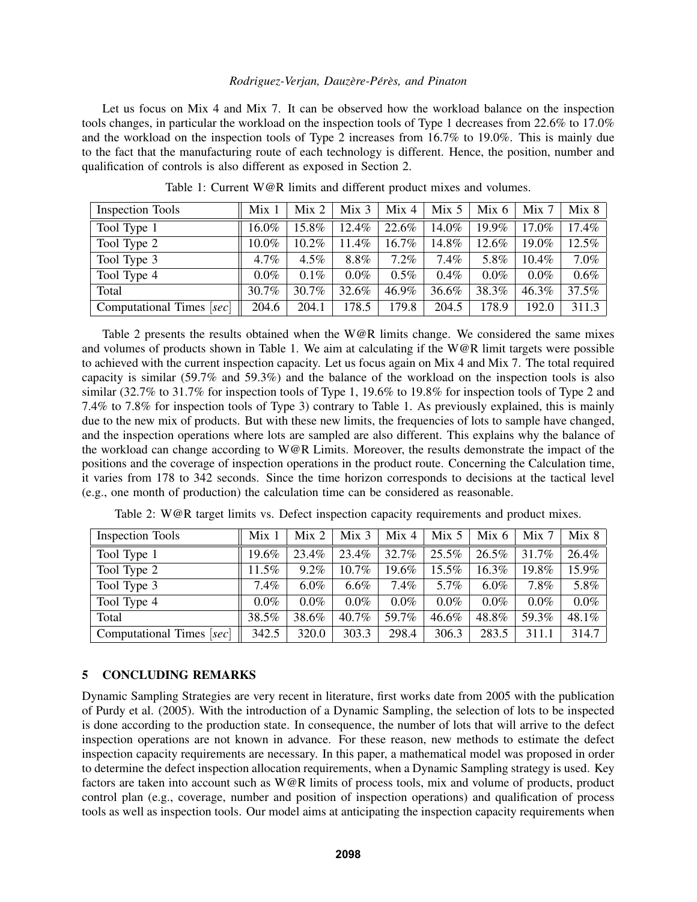Let us focus on Mix 4 and Mix 7. It can be observed how the workload balance on the inspection tools changes, in particular the workload on the inspection tools of Type 1 decreases from 22.6% to 17.0% and the workload on the inspection tools of Type 2 increases from 16.7% to 19.0%. This is mainly due to the fact that the manufacturing route of each technology is different. Hence, the position, number and qualification of controls is also different as exposed in Section 2.

| <b>Inspection Tools</b>   | Mix 1    | Mix <sub>2</sub> | Mix <sub>3</sub> | Mix <sub>4</sub> | Mix 5   | Mix 6    | Mix <sub>7</sub> | Mix 8    |
|---------------------------|----------|------------------|------------------|------------------|---------|----------|------------------|----------|
| Tool Type 1               | $16.0\%$ | 15.8%            | 12.4%            | 22.6%            | 14.0%   | $19.9\%$ | 17.0%            | 17.4%    |
| Tool Type 2               | $10.0\%$ | $10.2\%$         | 11.4%            | 16.7%            | 14.8%   | $12.6\%$ | $19.0\%$         | $12.5\%$ |
| Tool Type 3               | 4.7%     | $4.5\%$          | 8.8%             | $7.2\%$          | $7.4\%$ | 5.8%     | 10.4%            | $7.0\%$  |
| Tool Type 4               | $0.0\%$  | $0.1\%$          | $0.0\%$          | $0.5\%$          | 0.4%    | $0.0\%$  | $0.0\%$          | 0.6%     |
| Total                     | 30.7%    | 30.7%            | 32.6%            | 46.9%            | 36.6%   | 38.3%    | 46.3%            | 37.5%    |
| Computational Times [sec] | 204.6    | 204.1            | 178.5            | 179.8            | 204.5   | 178.9    | 192.0            | 311.3    |

Table 1: Current W@R limits and different product mixes and volumes.

Table 2 presents the results obtained when the W@R limits change. We considered the same mixes and volumes of products shown in Table 1. We aim at calculating if the W@R limit targets were possible to achieved with the current inspection capacity. Let us focus again on Mix 4 and Mix 7. The total required capacity is similar (59.7% and 59.3%) and the balance of the workload on the inspection tools is also similar (32.7% to 31.7% for inspection tools of Type 1, 19.6% to 19.8% for inspection tools of Type 2 and 7.4% to 7.8% for inspection tools of Type 3) contrary to Table 1. As previously explained, this is mainly due to the new mix of products. But with these new limits, the frequencies of lots to sample have changed, and the inspection operations where lots are sampled are also different. This explains why the balance of the workload can change according to W@R Limits. Moreover, the results demonstrate the impact of the positions and the coverage of inspection operations in the product route. Concerning the Calculation time, it varies from 178 to 342 seconds. Since the time horizon corresponds to decisions at the tactical level (e.g., one month of production) the calculation time can be considered as reasonable.

| <b>Inspection Tools</b>   | Mix <sub>1</sub> | Mix <sub>2</sub> | Mix <sub>3</sub> | Mix 4   | Mix 5   | Mix $6$  | Mix 7   | Mix $8$ |
|---------------------------|------------------|------------------|------------------|---------|---------|----------|---------|---------|
| Tool Type 1               | 19.6%            | 23.4%            | 23.4%            | 32.7%   | 25.5%   | 26.5%    | 31.7%   | 26.4%   |
| Tool Type 2               | $11.5\%$         | $9.2\%$          | $10.7\%$         | 19.6%   | 15.5%   | $16.3\%$ | 19.8%   | 15.9%   |
| Tool Type 3               | 7.4%             | $6.0\%$          | $6.6\%$          | 7.4%    | 5.7%    | $6.0\%$  | $7.8\%$ | 5.8%    |
| Tool Type 4               | $0.0\%$          | $0.0\%$          | $0.0\%$          | $0.0\%$ | $0.0\%$ | $0.0\%$  | $0.0\%$ | $0.0\%$ |
| Total                     | 38.5%            | 38.6%            | 40.7%            | 59.7%   | 46.6%   | 48.8%    | 59.3%   | 48.1%   |
| Computational Times [sec] | 342.5            | 320.0            | 303.3            | 298.4   | 306.3   | 283.5    | 311.1   | 314.7   |

Table 2: W@R target limits vs. Defect inspection capacity requirements and product mixes.

### 5 CONCLUDING REMARKS

Dynamic Sampling Strategies are very recent in literature, first works date from 2005 with the publication of Purdy et al. (2005). With the introduction of a Dynamic Sampling, the selection of lots to be inspected is done according to the production state. In consequence, the number of lots that will arrive to the defect inspection operations are not known in advance. For these reason, new methods to estimate the defect inspection capacity requirements are necessary. In this paper, a mathematical model was proposed in order to determine the defect inspection allocation requirements, when a Dynamic Sampling strategy is used. Key factors are taken into account such as W@R limits of process tools, mix and volume of products, product control plan (e.g., coverage, number and position of inspection operations) and qualification of process tools as well as inspection tools. Our model aims at anticipating the inspection capacity requirements when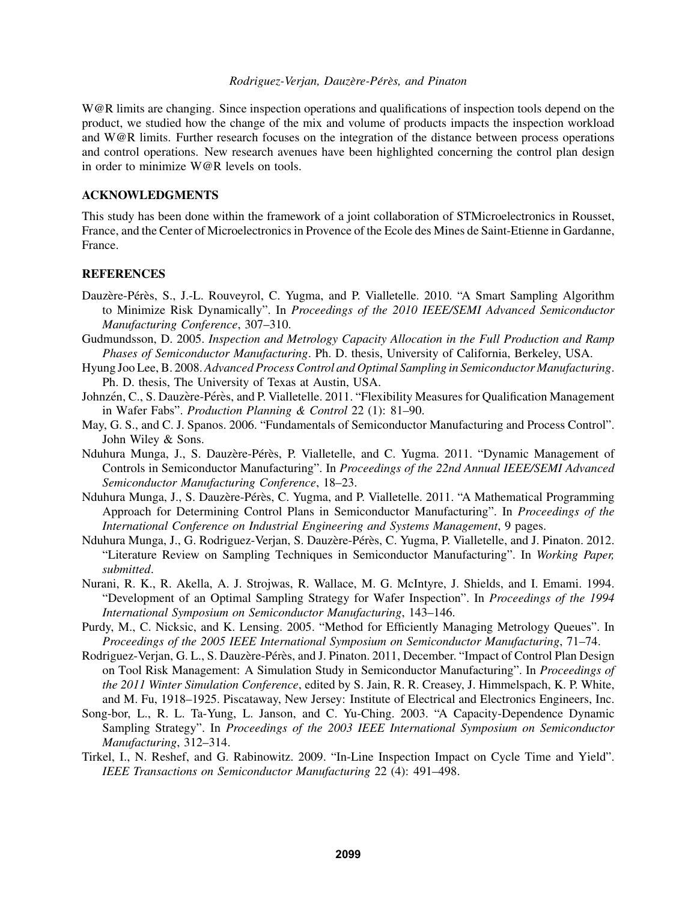W@R limits are changing. Since inspection operations and qualifications of inspection tools depend on the product, we studied how the change of the mix and volume of products impacts the inspection workload and W@R limits. Further research focuses on the integration of the distance between process operations and control operations. New research avenues have been highlighted concerning the control plan design in order to minimize W@R levels on tools.

#### ACKNOWLEDGMENTS

This study has been done within the framework of a joint collaboration of STMicroelectronics in Rousset, France, and the Center of Microelectronics in Provence of the Ecole des Mines de Saint-Etienne in Gardanne, France.

#### **REFERENCES**

- Dauzère-Pérès, S., J.-L. Rouveyrol, C. Yugma, and P. Vialletelle. 2010. "A Smart Sampling Algorithm to Minimize Risk Dynamically". In *Proceedings of the 2010 IEEE/SEMI Advanced Semiconductor Manufacturing Conference*, 307–310.
- Gudmundsson, D. 2005. *Inspection and Metrology Capacity Allocation in the Full Production and Ramp Phases of Semiconductor Manufacturing*. Ph. D. thesis, University of California, Berkeley, USA.
- Hyung Joo Lee, B. 2008. *Advanced Process Control and Optimal Sampling in Semiconductor Manufacturing*. Ph. D. thesis, The University of Texas at Austin, USA.
- Johnzén, C., S. Dauzère-Pérès, and P. Vialletelle. 2011. "Flexibility Measures for Qualification Management in Wafer Fabs". *Production Planning & Control* 22 (1): 81–90.
- May, G. S., and C. J. Spanos. 2006. "Fundamentals of Semiconductor Manufacturing and Process Control". John Wiley & Sons.
- Nduhura Munga, J., S. Dauzère-Pérès, P. Vialletelle, and C. Yugma. 2011. "Dynamic Management of Controls in Semiconductor Manufacturing". In *Proceedings of the 22nd Annual IEEE/SEMI Advanced Semiconductor Manufacturing Conference*, 18–23.
- Nduhura Munga, J., S. Dauzère-Pérès, C. Yugma, and P. Vialletelle. 2011. "A Mathematical Programming Approach for Determining Control Plans in Semiconductor Manufacturing". In *Proceedings of the International Conference on Industrial Engineering and Systems Management*, 9 pages.
- Nduhura Munga, J., G. Rodriguez-Verjan, S. Dauzère-Pérès, C. Yugma, P. Vialletelle, and J. Pinaton. 2012. "Literature Review on Sampling Techniques in Semiconductor Manufacturing". In *Working Paper, submitted*.
- Nurani, R. K., R. Akella, A. J. Strojwas, R. Wallace, M. G. McIntyre, J. Shields, and I. Emami. 1994. "Development of an Optimal Sampling Strategy for Wafer Inspection". In *Proceedings of the 1994 International Symposium on Semiconductor Manufacturing*, 143–146.
- Purdy, M., C. Nicksic, and K. Lensing. 2005. "Method for Efficiently Managing Metrology Queues". In *Proceedings of the 2005 IEEE International Symposium on Semiconductor Manufacturing*, 71–74.
- Rodriguez-Verjan, G. L., S. Dauzère-Pérès, and J. Pinaton. 2011, December. "Impact of Control Plan Design on Tool Risk Management: A Simulation Study in Semiconductor Manufacturing". In *Proceedings of the 2011 Winter Simulation Conference*, edited by S. Jain, R. R. Creasey, J. Himmelspach, K. P. White, and M. Fu, 1918–1925. Piscataway, New Jersey: Institute of Electrical and Electronics Engineers, Inc.
- Song-bor, L., R. L. Ta-Yung, L. Janson, and C. Yu-Ching. 2003. "A Capacity-Dependence Dynamic Sampling Strategy". In *Proceedings of the 2003 IEEE International Symposium on Semiconductor Manufacturing*, 312–314.
- Tirkel, I., N. Reshef, and G. Rabinowitz. 2009. "In-Line Inspection Impact on Cycle Time and Yield". *IEEE Transactions on Semiconductor Manufacturing* 22 (4): 491–498.